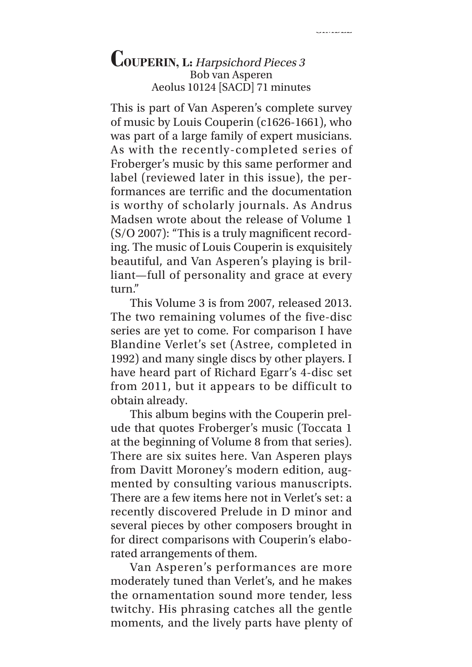dia kaominina mpikambana ary any kaominina mpikambana ary any ara-<br>Indrindra mpikambana ary any kaominina mpikambana ary ara-ary ara-ary ara-ary ara-ary ara-ary ara-ary ara-ary a

This is part of Van Asperen's complete survey of music by Louis Couperin (c1626-1661), who was part of a large family of expert musicians. As with the recently-completed series of Froberger's music by this same performer and label (reviewed later in this issue), the performances are terrific and the documentation is worthy of scholarly journals. As Andrus Madsen wrote about the release of Volume 1 (S/O 2007): "This is a truly magnificent recording. The music of Louis Couperin is exquisitely beautiful, and Van Asperen's playing is brilliant—full of personality and grace at every turn."

This Volume 3 is from 2007, released 2013. The two remaining volumes of the five-disc series are yet to come. For comparison I have Blandine Verlet's set (Astree, completed in 1992) and many single discs by other players. I have heard part of Richard Egarr's 4-disc set from 2011, but it appears to be difficult to obtain already.

This album begins with the Couperin prelude that quotes Froberger's music (Toccata 1 at the beginning of Volume 8 from that series). There are six suites here. Van Asperen plays from Davitt Moroney's modern edition, augmented by consulting various manuscripts. There are a few items here not in Verlet's set: a recently discovered Prelude in D minor and several pieces by other composers brought in for direct comparisons with Couperin's elaborated arrangements of them.

Van Asperen's performances are more moderately tuned than Verlet's, and he makes the ornamentation sound more tender, less twitchy. His phrasing catches all the gentle moments, and the lively parts have plenty of